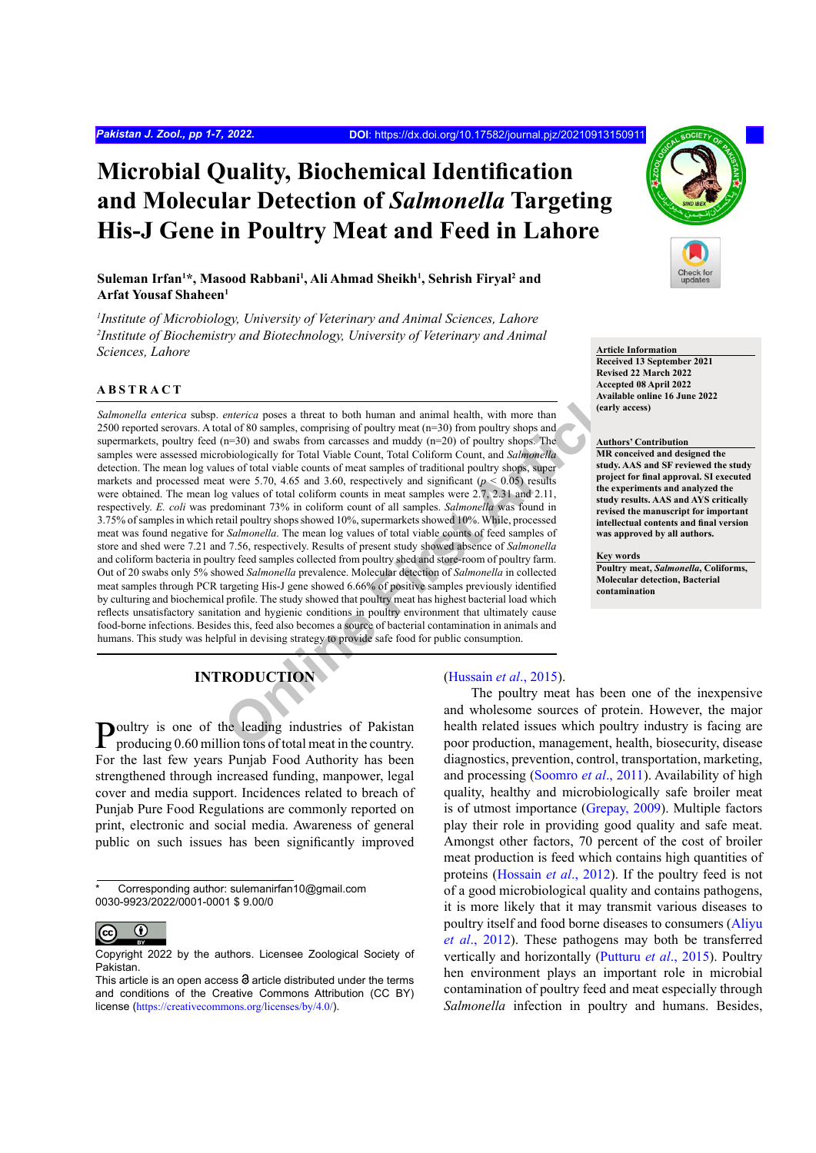# **Microbial Quality, Biochemical Identification and Molecular Detection of** *Salmonella* **Targeting His-J Gene in Poultry Meat and Feed in Lahore**

# $\boldsymbol{\mathrm{Suleman\ Irfan^{1*}, Masood\ Rabbani^{1}, Ali Ahmad Sheikh^{1}, Sehrish Firyal^{2}}$  and **Arfat Yousaf Shaheen1**

*1 Institute of Microbiology, University of Veterinary and Animal Sciences, Lahore 2 Institute of Biochemistry and Biotechnology, University of Veterinary and Animal*  **Sciences, Lahore Article Information** 

# **ABSTRACT**

*enterica* poses a threat to both human and animal health, with more than<br>
tal of 80 samples, comprising of poultry meat (n=30) from poultry shops and<br>
fraction (n=30) and swabs from carcasses and muddy (n=20) of poultry s *Salmonella enterica* subsp. *enterica* poses a threat to both human and animal health, with more than 2500 reported serovars. A total of 80 samples, comprising of poultry meat (n=30) from poultry shops and supermarkets, poultry feed (n=30) and swabs from carcasses and muddy (n=20) of poultry shops. The samples were assessed microbiologically for Total Viable Count, Total Coliform Count, and *Salmonella* detection. The mean log values of total viable counts of meat samples of traditional poultry shops, super markets and processed meat were 5.70, 4.65 and 3.60, respectively and significant ( $p < 0.05$ ) results were obtained. The mean log values of total coliform counts in meat samples were  $2.7$ ,  $2.31$  and  $2.11$ , respectively. *E. coli* was predominant 73% in coliform count of all samples. *Salmonella* was found in 3.75% of samples in which retail poultry shops showed 10%, supermarkets showed 10%. While, processed meat was found negative for *Salmonella*. The mean log values of total viable counts of feed samples of store and shed were 7.21 and 7.56, respectively. Results of present study showed absence of *Salmonella* and coliform bacteria in poultry feed samples collected from poultry shed and store-room of poultry farm. Out of 20 swabs only 5% showed *Salmonella* prevalence. Molecular detection of *Salmonella* in collected meat samples through PCR targeting His-J gene showed 6.66% of positive samples previously identified by culturing and biochemical profile. The study showed that poultry meat has highest bacterial load which reflects unsatisfactory sanitation and hygienic conditions in poultry environment that ultimately cause food-borne infections. Besides this, feed also becomes a source of bacterial contamination in animals and humans. This study was helpful in devising strategy to provide safe food for public consumption.

# **INTRODUCTION**

**P**oultry is one of the leading industries of Pakistan producing 0.60 million tons of total meat in the country. For the last few years Punjab Food Authority has been strengthened through increased funding, manpower, legal cover and media support. Incidences related to breach of Punjab Pure Food Regulations are commonly reported on print, electronic and social media. Awareness of general public on such issues has been significantly improved

Corresponding author: sulemanirfan10@gmail.com 0030-9923/2022/0001-0001 \$ 9.00/0



Copyright 2022 by the authors. Licensee Zoological Society of Pakistan.

# (Hussain *et al*., 2015).

The poultry meat has been one of the inexpensive and wholesome sources of protein. However, the major health related issues which poultry industry is facing are poor production, management, health, biosecurity, disease diagnostics, prevention, control, transportation, marketing, and processing [\(Soomro](#page-6-0) *et al*., 2011). Availability of high quality, healthy and microbiologically safe broiler meat is of utmost importance ([Grepay, 2009](#page-5-1)). Multiple factors play their role in providing good quality and safe meat. Amongst other factors, 70 percent of the cost of broiler meat production is feed which contains high quantities of proteins ([Hossain](#page-5-2) *et al*., 2012). If the poultry feed is not of a good microbiological quality and contains pathogens, it is more likely that it may transmit various diseases to poultry itself and food borne diseases to consumers ([Aliyu](#page-5-3) *et al*[., 2012\)](#page-5-3). These pathogens may both be transferred vertically and horizontally [\(Putturu](#page-5-4) *et al*., 2015). Poultry hen environment plays an important role in microbial contamination of poultry feed and meat especially through *Salmonella* infection in poultry and humans. Besides,



**Received 13 September 2021 Revised 22 March 2022 Accepted 08 April 2022 Available online 16 June 2022 (early access)**

#### **Authors' Contribution**

**MR conceived and designed the study. AAS and SF reviewed the study project for final approval. SI executed the experiments and analyzed the study results. AAS and AYS critically revised the manuscript for important intellectual contents and final version was approved by all authors.**

**Key words**

**Poultry meat,** *Salmonella***, Coliforms, Molecular detection, Bacterial contamination**

This article is an open access  $\Theta$  article distributed under the terms and conditions of the Creative Commons Attribution (CC BY) license (<https://creativecommons.org/licenses/by/4.0/>).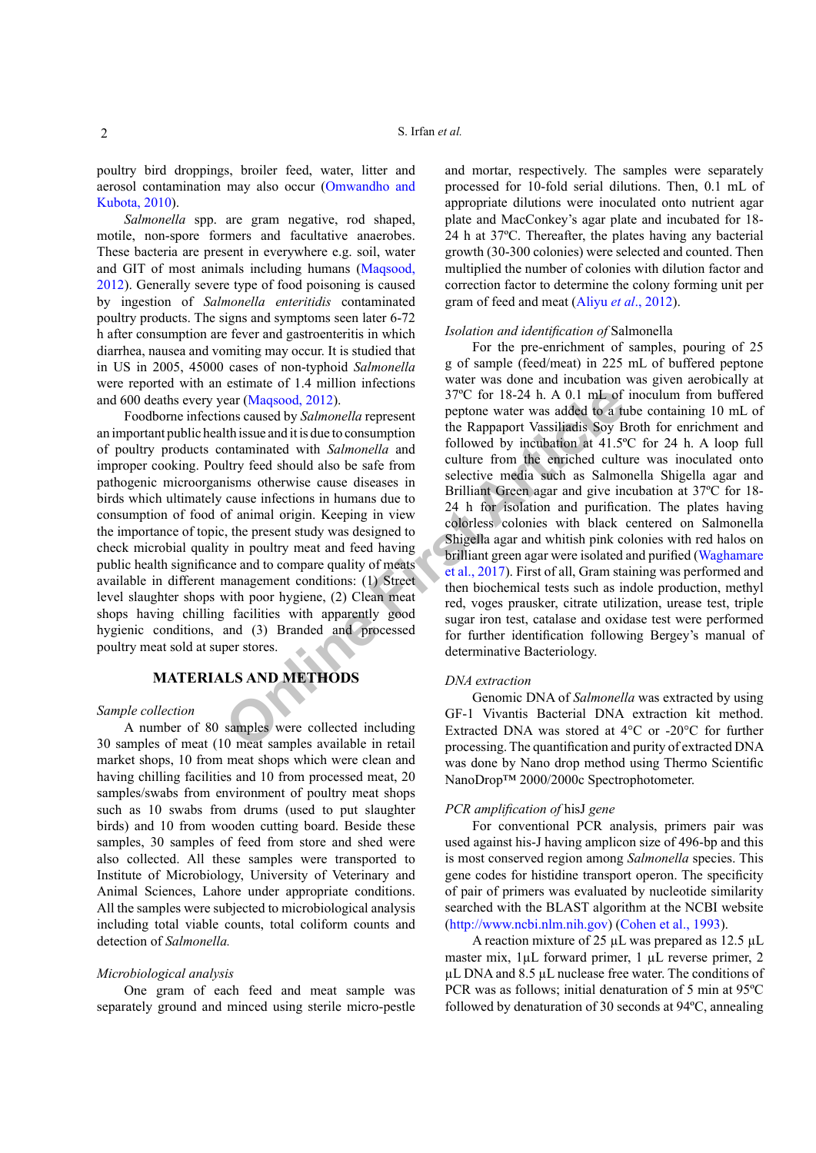poultry bird droppings, broiler feed, water, litter and aerosol contamination may also occur ([Omwandho and](#page-5-5) [Kubota, 2010](#page-5-5)).

*Salmonella* spp. are gram negative, rod shaped, motile, non-spore formers and facultative anaerobes. These bacteria are present in everywhere e.g. soil, water and GIT of most animals including humans [\(Maqsood,](#page-5-6) [2012\)](#page-5-6). Generally severe type of food poisoning is caused by ingestion of *Salmonella enteritidis* contaminated poultry products. The signs and symptoms seen later 6-72 h after consumption are fever and gastroenteritis in which diarrhea, nausea and vomiting may occur. It is studied that in US in 2005, 45000 cases of non-typhoid *Salmonella*  were reported with an estimate of 1.4 million infections and 600 deaths every year (Maqsood, 2012).

Foodborne infections caused by *Salmonella* represent an important public health issue and it is due to consumption of poultry products contaminated with *Salmonella* and improper cooking. Poultry feed should also be safe from pathogenic microorganisms otherwise cause diseases in birds which ultimately cause infections in humans due to consumption of food of animal origin. Keeping in view the importance of topic, the present study was designed to check microbial quality in poultry meat and feed having public health significance and to compare quality of meats available in different management conditions: (1) Street level slaughter shops with poor hygiene, (2) Clean meat shops having chilling facilities with apparently good hygienic conditions, and (3) Branded and processed poultry meat sold at super stores.

# **MATERIALS AND METHODS**

#### *Sample collection*

A number of 80 samples were collected including 30 samples of meat (10 meat samples available in retail market shops, 10 from meat shops which were clean and having chilling facilities and 10 from processed meat, 20 samples/swabs from environment of poultry meat shops such as 10 swabs from drums (used to put slaughter birds) and 10 from wooden cutting board. Beside these samples, 30 samples of feed from store and shed were also collected. All these samples were transported to Institute of Microbiology, University of Veterinary and Animal Sciences, Lahore under appropriate conditions. All the samples were subjected to microbiological analysis including total viable counts, total coliform counts and detection of *Salmonella.*

#### *Microbiological analysis*

One gram of each feed and meat sample was separately ground and minced using sterile micro-pestle and mortar, respectively. The samples were separately processed for 10-fold serial dilutions. Then, 0.1 mL of appropriate dilutions were inoculated onto nutrient agar plate and MacConkey's agar plate and incubated for 18- 24 h at 37ºC. Thereafter, the plates having any bacterial growth (30-300 colonies) were selected and counted. Then multiplied the number of colonies with dilution factor and correction factor to determine the colony forming unit per gram of feed and meat (Aliyu *et al*[., 2012\)](#page-5-3).

#### *Isolation and identification of* Salmonella

EXAMPLE THODS<br>
STOC for 18-24 h. A 0.1 mL of<br>
ear (Magsood, 2012).<br>
The Rappapert Vassiladis Sove Big balmonella represent<br>
thissue and its due to consumption<br>
followed by incubation at 41.5°<br>
followed by incubation at 41. For the pre-enrichment of samples, pouring of 25 g of sample (feed/meat) in 225 mL of buffered peptone water was done and incubation was given aerobically at 37ºC for 18-24 h. A 0.1 mL of inoculum from buffered peptone water was added to a tube containing 10 mL of the Rappaport Vassiliadis Soy Broth for enrichment and followed by incubation at 41.5ºC for 24 h. A loop full culture from the enriched culture was inoculated onto selective media such as Salmonella Shigella agar and Brilliant Green agar and give incubation at 37ºC for 18- 24 h for isolation and purification. The plates having colorless colonies with black centered on Salmonella Shigella agar and whitish pink colonies with red halos on brilliant green agar were isolated and purified ([Waghamare](#page-6-1) et al., 2017). First of all, Gram staining was performed and then biochemical tests such as indole production, methyl red, voges prausker, citrate utilization, urease test, triple sugar iron test, catalase and oxidase test were performed for further identification following Bergey's manual of determinative Bacteriology.

#### *DNA extraction*

Genomic DNA of *Salmonella* was extracted by using GF-1 Vivantis Bacterial DNA extraction kit method. Extracted DNA was stored at 4°C or -20°C for further processing. The quantification and purity of extracted DNA was done by Nano drop method using Thermo Scientific NanoDrop™ 2000/2000c Spectrophotometer.

#### *PCR amplification of* hisJ *gene*

For conventional PCR analysis, primers pair was used against his-J having amplicon size of 496-bp and this is most conserved region among *Salmonella* species. This gene codes for histidine transport operon. The specificity of pair of primers was evaluated by nucleotide similarity searched with the BLAST algorithm at the NCBI website [\(http://www.ncbi.nlm.nih.gov\)](http://www.ncbi.nlm.nih.gov) ([Cohen et al., 1993\)](#page-5-7).

A reaction mixture of 25 µL was prepared as 12.5 µL master mix, 1µL forward primer, 1 µL reverse primer, 2 µL DNA and 8.5 µL nuclease free water. The conditions of PCR was as follows; initial denaturation of 5 min at 95ºC followed by denaturation of 30 seconds at 94ºC, annealing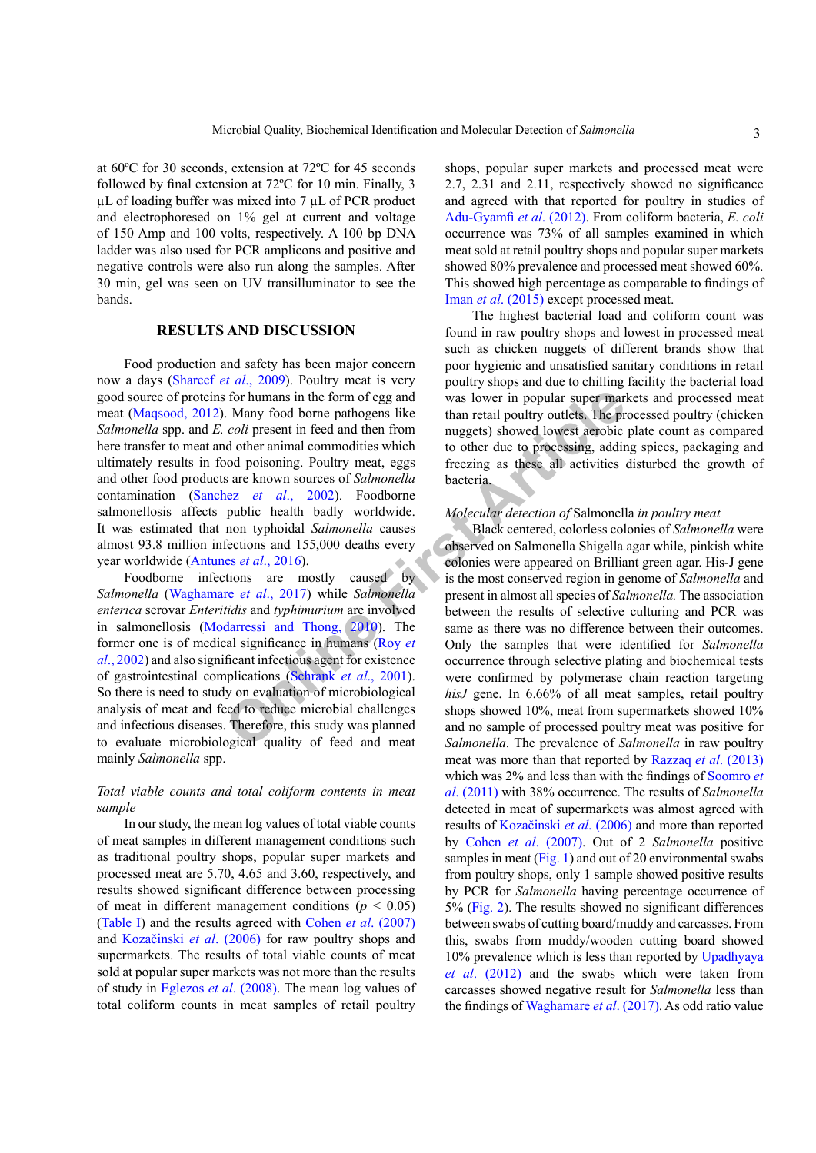at 60ºC for 30 seconds, extension at 72ºC for 45 seconds followed by final extension at 72ºC for 10 min. Finally, 3 µL of loading buffer was mixed into 7 µL of PCR product and electrophoresed on 1% gel at current and voltage of 150 Amp and 100 volts, respectively. A 100 bp DNA ladder was also used for PCR amplicons and positive and negative controls were also run along the samples. After 30 min, gel was seen on UV transilluminator to see the bands.

## **RESULTS AND DISCUSSION**

Food production and safety has been major concern now a days ([Shareef](#page-6-2) *et al*., 2009). Poultry meat is very good source of proteins for humans in the form of egg and meat ([Maqsood, 2012](#page-5-6)). Many food borne pathogens like *Salmonella* spp. and *E. coli* present in feed and then from here transfer to meat and other animal commodities which ultimately results in food poisoning. Poultry meat, eggs and other food products are known sources of *Salmonella* contamination (Sanchez *et al*., 2002). Foodborne salmonellosis affects public health badly worldwide. It was estimated that non typhoidal *Salmonella* causes almost 93.8 million infections and 155,000 deaths every year worldwide (Antunes *et al*., 2016).

Foodborne infections are mostly caused by *Salmonella* (Waghamare *et al*., 2017) while *Salmonella enterica* serovar *Enteritidis* and *typhimurium* are involved in salmonellosis (Modarressi and Thong, 2010). The former one is of medical significance in humans (Roy *et al*[., 2002](#page-5-9)) and also significant infectious agent for existence of gastrointestinal complications (Schrank *et al*., 2001). So there is need to study on evaluation of microbiological analysis of meat and feed to reduce microbial challenges and infectious diseases. Therefore, this study was planned to evaluate microbiological quality of feed and meat mainly *Salmonella* spp.

## *Total viable counts and total coliform contents in meat sample*

In our study, the mean log values of total viable counts of meat samples in different management conditions such as traditional poultry shops, popular super markets and processed meat are 5.70, 4.65 and 3.60, respectively, and results showed significant difference between processing of meat in different management conditions ( $p < 0.05$ ) [\(Table I\)](#page-3-0) and the results agreed with Cohen *et al*[. \(2007\)](#page-5-10) and [Kozačinski](#page-5-11) *et al*. (2006) for raw poultry shops and supermarkets. The results of total viable counts of meat sold at popular super markets was not more than the results of study in [Eglezos](#page-5-12) *et al*. (2008). The mean log values of total coliform counts in meat samples of retail poultry

shops, popular super markets and processed meat were 2.7, 2.31 and 2.11, respectively showed no significance and agreed with that reported for poultry in studies of [Adu-Gyamfi](#page-5-13) *et al*. (2012). From coliform bacteria, *E. coli* occurrence was 73% of all samples examined in which meat sold at retail poultry shops and popular super markets showed 80% prevalence and processed meat showed 60%. This showed high percentage as comparable to findings of Iman *et al*[. \(2015\)](#page-5-14) except processed meat.

The highest bacterial load and coliform count was found in raw poultry shops and lowest in processed meat such as chicken nuggets of different brands show that poor hygienic and unsatisfied sanitary conditions in retail poultry shops and due to chilling facility the bacterial load was lower in popular super markets and processed meat than retail poultry outlets. The processed poultry (chicken nuggets) showed lowest aerobic plate count as compared to other due to processing, adding spices, packaging and freezing as these all activities disturbed the growth of bacteria.

#### *Molecular detection of* Salmonella *in poultry meat*

**Exampl[e](#page-5-8) 18** In the form of egg and<br> **Example 18** In the form of egg and<br>
In the near olid present in feed and then from<br> **Example 18** In the real polity outlets. The present in feed and then from<br> **Example 18** In the two Black centered, colorless colonies of *Salmonella* were observed on Salmonella Shigella agar while, pinkish white colonies were appeared on Brilliant green agar. His-J gene is the most conserved region in genome of *Salmonella* and present in almost all species of *Salmonella.* The association between the results of selective culturing and PCR was same as there was no difference between their outcomes. Only the samples that were identified for *Salmonella* occurrence through selective plating and biochemical tests were confirmed by polymerase chain reaction targeting hisJ gene. In 6.66% of all meat samples, retail poultry shops showed 10%, meat from supermarkets showed 10% and no sample of processed poultry meat was positive for *Salmonella*. The prevalence of *Salmonella* in raw poultry meat was more than that reported by [Razzaq](#page-5-15) *et al*. (2013) which was 2% and less than with the findings of [Soomro](#page-6-0) *et al*[. \(2011](#page-6-0)) with 38% occurrence. The results of *Salmonella*  detected in meat of supermarkets was almost agreed with results of [Kozačinski](#page-5-11) *et al*. (2006) and more than reported by Cohen *et al*[. \(2007\)](#page-5-10). Out of 2 *Salmonella* positive samples in meat ([Fig. 1](#page-4-0)) and out of 20 environmental swabs from poultry shops, only 1 sample showed positive results by PCR for *Salmonella* having percentage occurrence of 5% [\(Fig. 2](#page-4-1)). The results showed no significant differences between swabs of cutting board/muddy and carcasses. From this, swabs from muddy/wooden cutting board showed 10% prevalence which is less than reported by [Upadhyaya](#page-6-5) *et al*[. \(2012](#page-6-5)) and the swabs which were taken from carcasses showed negative result for *Salmonella* less than the findings of [Waghamare](#page-6-1) *et al*. (2017). As odd ratio value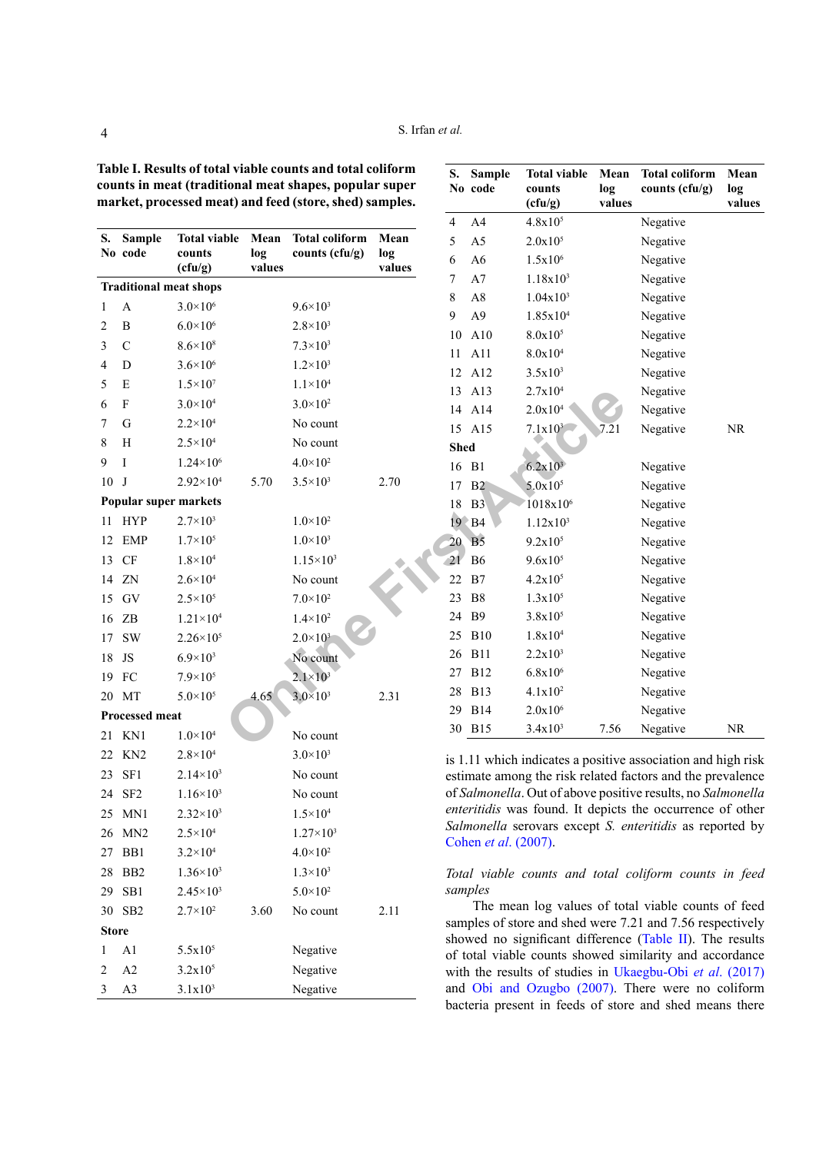<span id="page-3-0"></span>**Table I. Results of total viable counts and total coliform counts in meat (traditional meat shapes, popular super market, processed meat) and feed (store, shed) samples.**

|              |                                                  |                      |               |                       |               | 4         | A4                   | $4.8x10^{3}$                                                         |      |
|--------------|--------------------------------------------------|----------------------|---------------|-----------------------|---------------|-----------|----------------------|----------------------------------------------------------------------|------|
| S.           | <b>Sample</b>                                    | <b>Total viable</b>  | Mean          | <b>Total coliform</b> | Mean          | 5         | A <sub>5</sub>       | $2.0x10^{5}$                                                         |      |
|              | No code                                          | counts<br>(cfu/g)    | log<br>values | counts (cfu/g)        | log<br>values | 6         | A <sub>6</sub>       | $1.5x10^{6}$                                                         |      |
|              | <b>Traditional meat shops</b>                    |                      |               |                       |               | 7         | A7                   | $1.18x10^{3}$                                                        |      |
| $\mathbf{1}$ | A                                                | $3.0 \times 10^{6}$  |               | $9.6 \times 10^{3}$   |               | $\,$ $\,$ | A8                   | 1.04x10 <sup>3</sup>                                                 |      |
| $\sqrt{2}$   | $\, {\bf B}$                                     | $6.0 \times 10^{6}$  |               | $2.8 \times 10^3$     |               | 9         | A <sub>9</sub>       | 1.85x10 <sup>4</sup>                                                 |      |
| 3            | $\mathbf C$                                      | $8.6 \times 10^{8}$  |               | $7.3 \times 10^3$     |               | 10        | A10                  | $8.0x10^{5}$                                                         |      |
| 4            | $\mathbf D$                                      | $3.6 \times 10^{6}$  |               | $1.2 \times 10^3$     |               | 11        | A11                  | 8.0x104                                                              |      |
| 5            | E                                                | $1.5 \times 10^{7}$  |               | $1.1 \times 10^{4}$   |               | 12        | A12                  | $3.5x10^{3}$                                                         |      |
| 6            | $\boldsymbol{\mathrm{F}}$                        | $3.0 \times 10^{4}$  |               | $3.0 \times 10^{2}$   |               | 13        | A13                  | 2.7x10 <sup>4</sup>                                                  |      |
| 7            | $\mathbf G$                                      | $2.2 \times 10^{4}$  |               | No count              |               | 14        | A14                  | 2.0x10 <sup>4</sup>                                                  |      |
| 8            | $\boldsymbol{\mathrm{H}}$                        |                      |               |                       |               |           | 15 A15               | $7.1 \times 10^3$                                                    | 7.21 |
|              |                                                  | $2.5 \times 10^{4}$  |               | No count              |               |           | <b>Shed</b>          |                                                                      |      |
| 9            | Ι                                                | $1.24 \times 10^{6}$ |               | $4.0 \times 10^{2}$   |               |           | 16 B1                | $6.2x10^3$                                                           |      |
| 10           | J                                                | $2.92 \times 10^{4}$ | 5.70          | $3.5 \times 10^3$     | 2.70          | 17        | B <sub>2</sub>       | $5.0x10^{5}$                                                         |      |
|              | Popular super markets                            |                      |               |                       |               | 18        | B <sub>3</sub>       | $1018x10^6$                                                          |      |
| 11           | <b>HYP</b>                                       | $2.7 \times 10^{3}$  |               | $1.0\times10^{2}$     |               |           | $19$ B4              | 1.12x10 <sup>3</sup>                                                 |      |
| 12           | EMP                                              | $1.7 \times 10^{5}$  |               | $1.0\times10^{3}$     |               | 20        | B <sub>5</sub>       | $9.2x10^{5}$                                                         |      |
| 13           | CF                                               | $1.8\times10^4$      |               | $1.15 \times 10^{3}$  |               | 21        | <b>B6</b>            | $9.6x10^{5}$                                                         |      |
| 14           | ZN                                               | $2.6 \times 10^{4}$  |               | No count              |               | 22        | B7                   | $4.2x10^{5}$                                                         |      |
| 15           | GV                                               | $2.5 \times 10^{5}$  |               | $7.0{\times}10^2$     |               | 23        | B <sub>8</sub>       | $1.3x10^{5}$                                                         |      |
| 16           | $\ensuremath{\mathbf{Z}}\ensuremath{\mathbf{B}}$ | $1.21 \times 10^{4}$ |               | $1.4 \times 10^{2}$   |               | 24        | <b>B</b> 9           | $3.8x10^{5}$                                                         |      |
| 17           | <b>SW</b>                                        | $2.26 \times 10^{5}$ |               | $2.0 \times 10^{3}$   |               | 25        | <b>B10</b>           | 1.8x10 <sup>4</sup>                                                  |      |
| 18           | JS                                               | $6.9 \times 10^{3}$  |               | No count              |               |           | 26 B11               | $2.2x10^3$                                                           |      |
| 19           | FC                                               | $7.9 \times 10^{5}$  |               | $2.1 \times 10^3$     |               | 27        | <b>B12</b>           | $6.8x10^{6}$                                                         |      |
| 20           | MT                                               | $5.0 \times 10^{5}$  | 4.65          | $3.0 \times 10^{3}$   | 2.31          | $28\,$    | <b>B13</b>           | $4.1x10^2$                                                           |      |
|              | Processed meat                                   |                      |               |                       |               |           | 29 B14               | $2.0x10^{6}$                                                         |      |
| 21           | KN1                                              | $1.0\times10^4$      |               | No count              |               |           | 30 B15               | $3.4x10^{3}$                                                         | 7.56 |
| 22           | KN <sub>2</sub>                                  | $2.8 \times 10^{4}$  |               | $3.0 \times 10^3$     |               |           |                      | is 1.11 which indicates a positive                                   |      |
| 23           | SF1                                              | $2.14 \times 10^{3}$ |               | No count              |               |           |                      | estimate among the risk related fa                                   |      |
| 24           | SF <sub>2</sub>                                  | $1.16 \times 10^3$   |               | No count              |               |           |                      | of Salmonella. Out of above posit                                    |      |
| 25           | MN1                                              | $2.32\times10^{3}$   |               | $1.5 \times 10^{4}$   |               |           |                      | enteritidis was found. It depicts                                    |      |
|              | 26 MN2                                           | $2.5 \times 10^{4}$  |               | $1.27\times10^{3}$    |               |           | Cohen et al. (2007). | Salmonella serovars except S. e                                      |      |
|              | 27 BB1                                           | $3.2 \times 10^{4}$  |               | $4.0\times10^{2}$     |               |           |                      |                                                                      |      |
|              | 28 BB2                                           | $1.36\times10^{3}$   |               | $1.3 \times 10^{3}$   |               |           |                      | Total viable counts and total                                        |      |
| 29           | SB <sub>1</sub>                                  | $2.45 \times 10^3$   |               | $5.0 \times 10^{2}$   |               |           | samples              |                                                                      |      |
|              | 30 SB2                                           | $2.7 \times 10^{2}$  | 3.60          | No count              | 2.11          |           |                      | The mean log values of to                                            |      |
| <b>Store</b> |                                                  |                      |               |                       |               |           |                      | samples of store and shed were 7                                     |      |
| 1            | A <sub>1</sub>                                   | $5.5x10^{5}$         |               | Negative              |               |           |                      | showed no significant difference<br>of total viable counts showed si |      |
| 2            | A2                                               | $3.2x10^{5}$         |               | Negative              |               |           |                      | with the results of studies in Ul                                    |      |
| 3            | A3                                               | $3.1x10^3$           |               | Negative              |               |           |                      | and Obi and Ozugbo (2007).                                           |      |
|              |                                                  |                      |               |                       |               |           |                      | bacteria present in feeds of stor                                    |      |

| S.<br>No    | Sample<br>code | <b>Total viable</b><br>counts<br>(cfu/g) | Mean<br>log<br>values | <b>Total coliform</b><br>counts (cfu/g) | Mean<br>log<br>values |
|-------------|----------------|------------------------------------------|-----------------------|-----------------------------------------|-----------------------|
| 4           | A <sub>4</sub> | $4.8x10^{5}$                             |                       | Negative                                |                       |
| 5           | A <sub>5</sub> | $2.0x10^{5}$                             |                       | Negative                                |                       |
| 6           | A <sub>6</sub> | $1.5x10^{6}$                             |                       | Negative                                |                       |
| 7           | A7             | $1.18x10^{3}$                            |                       | Negative                                |                       |
| 8           | A8             | $1.04x10^{3}$                            |                       | Negative                                |                       |
| 9           | A <sub>9</sub> | 1.85x10 <sup>4</sup>                     |                       | Negative                                |                       |
| 10          | A10            | $8.0x10^{5}$                             |                       | Negative                                |                       |
| 11          | A11            | 8.0x10 <sup>4</sup>                      |                       | Negative                                |                       |
| 12          | A12            | $3.5x10^{3}$                             |                       | Negative                                |                       |
| 13          | A13            | 2.7x10 <sup>4</sup>                      |                       | Negative                                |                       |
| 14          | A14            | 2.0x10 <sup>4</sup>                      |                       | Negative                                |                       |
| 15          | A15            | $7.1x10^3$                               | 7.21                  | Negative                                | <b>NR</b>             |
| <b>Shed</b> |                |                                          |                       |                                         |                       |
| 16          | B1             | $6.2x10^3$                               |                       | Negative                                |                       |
| 17          | B2             | $5.0x10^{5}$                             |                       | Negative                                |                       |
| 18          | B <sub>3</sub> | 1018x10 <sup>6</sup>                     |                       | Negative                                |                       |
| 19          | BB4            | 1.12x10 <sup>3</sup>                     |                       | Negative                                |                       |
| 20          | B <sub>5</sub> | $9.2x10^{5}$                             |                       | Negative                                |                       |
| 21          | <b>B6</b>      | $9.6x10^{5}$                             |                       | Negative                                |                       |
| 22          | B7             | $4.2x10^{5}$                             |                       | Negative                                |                       |
| 23          | B <sub>8</sub> | $1.3x10^{5}$                             |                       | Negative                                |                       |
| 24          | <b>B</b> 9     | $3.8x10^{5}$                             |                       | Negative                                |                       |
| 25          | <b>B10</b>     | 1.8x104                                  |                       | Negative                                |                       |
| 26          | <b>B11</b>     | 2.2x10 <sup>3</sup>                      |                       | Negative                                |                       |
| 27          | <b>B12</b>     | $6.8x10^{6}$                             |                       | Negative                                |                       |
| 28          | <b>B13</b>     | $4.1x10^2$                               |                       | Negative                                |                       |
| 29          | <b>B14</b>     | $2.0x10^{6}$                             |                       | Negative                                |                       |
| 30          | <b>B15</b>     | $3.4x10^3$                               | 7.56                  | Negative                                | NR                    |

is 1.11 which indicates a positive association and high risk estimate among the risk related factors and the prevalence of *Salmonella*. Out of above positive results, no *Salmonella enteritidis* was found. It depicts the occurrence of other *Salmonella* serovars except *S. enteritidis* as reported by Cohen *et al*[. \(2007\)](#page-5-10).

# *Total viable counts and total coliform counts in feed samples*

The mean log values of total viable counts of feed samples of store and shed were 7.21 and 7.56 respectively showed no significant difference ([Table II\)](#page-4-2). The results of total viable counts showed similarity and accordance with the results of studies in [Ukaegbu-Obi](#page-6-6) *et al*. (2017) and [Obi and Ozugbo \(2007\)](#page-5-16). There were no coliform bacteria present in feeds of store and shed means there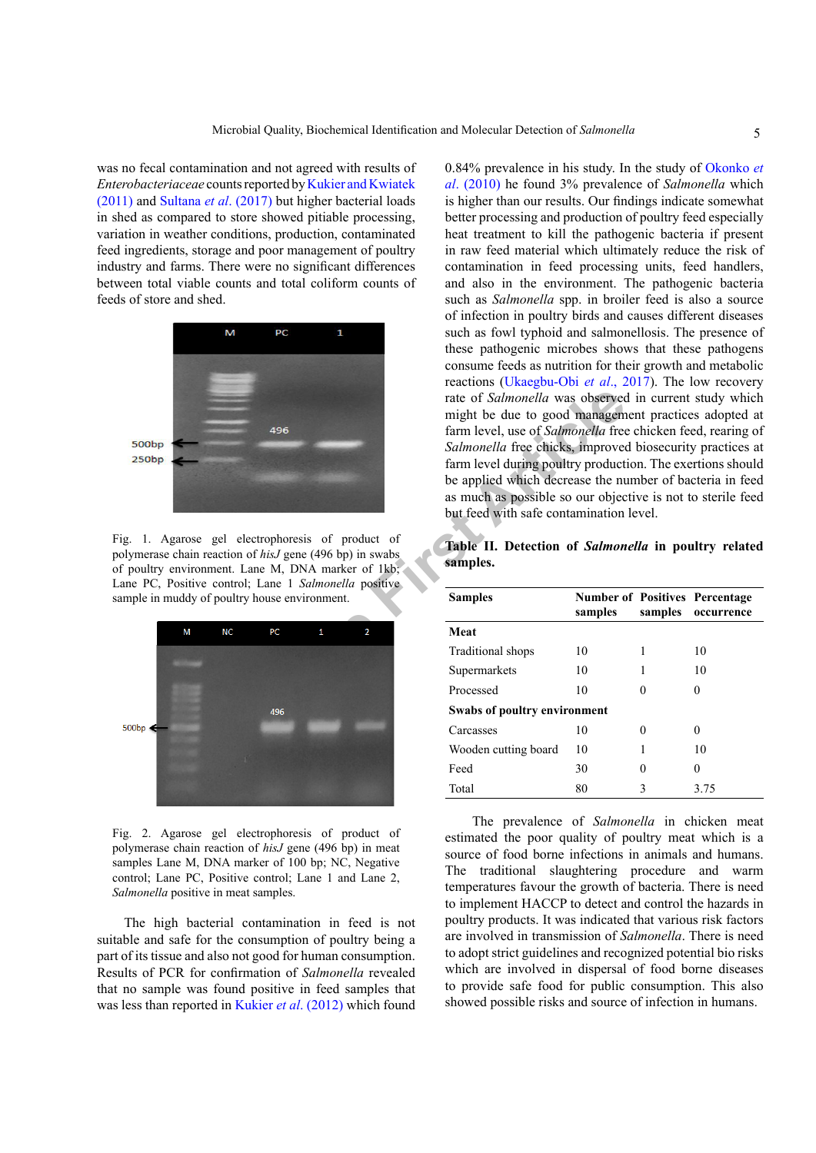was no fecal contamination and not agreed with results of *Enterobacteriaceae* counts reported by [Kukier and Kwiatek](#page-5-17) [\(2011\)](#page-5-17) and [Sultana](#page-6-7) *et al*. (2017) but higher bacterial loads in shed as compared to store showed pitiable processing, variation in weather conditions, production, contaminated feed ingredients, storage and poor management of poultry industry and farms. There were no significant differences between total viable counts and total coliform counts of feeds of store and shed.



<span id="page-4-0"></span>Fig. 1. Agarose gel electrophoresis of product of polymerase chain reaction of *hisJ* gene (496 bp) in swabs of poultry environment. Lane M, DNA marker of 1kb; Lane PC, Positive control; Lane 1 *Salmonella* positive sample in muddy of poultry house environment.



<span id="page-4-1"></span>Fig. 2. Agarose gel electrophoresis of product of polymerase chain reaction of *hisJ* gene (496 bp) in meat samples Lane M, DNA marker of 100 bp; NC, Negative control; Lane PC, Positive control; Lane 1 and Lane 2, *Salmonella* positive in meat samples.

The high bacterial contamination in feed is not suitable and safe for the consumption of poultry being a part of its tissue and also not good for human consumption. Results of PCR for confirmation of *Salmonella* revealed that no sample was found positive in feed samples that was less than reported in [Kukier](#page-5-18) *et al*. (2012) which found

0.84% prevalence in his study. In the study of [Okonko](#page-5-19) *et al*[. \(2010\)](#page-5-19) he found 3% prevalence of *Salmonella* which is higher than our results. Our findings indicate somewhat better processing and production of poultry feed especially heat treatment to kill the pathogenic bacteria if present in raw feed material which ultimately reduce the risk of contamination in feed processing units, feed handlers, and also in the environment. The pathogenic bacteria such as *Salmonella* spp. in broiler feed is also a source of infection in poultry birds and causes different diseases such as fowl typhoid and salmonellosis. The presence of these pathogenic microbes shows that these pathogens consume feeds as nutrition for their growth and metabolic reactions [\(Ukaegbu-Obi](#page-6-6) *et al*., 2017). The low recovery rate of *Salmonella* was observed in current study which might be due to good management practices adopted at farm level, use of *Salmonella* free chicken feed, rearing of *Salmonella* free chicks, improved biosecurity practices at farm level during poultry production. The exertions should be applied which decrease the number of bacteria in feed as much as possible so our objective is not to sterile feed but feed with safe contamination level.

<span id="page-4-2"></span>**Table II. Detection of** *Salmonella* **in poultry related samples.**

| might be due to good management practices adopted at<br>farm level, use of Salmonella free chicken feed, rearing of<br>496<br>Salmonella free chicks, improved biosecurity practices at<br>farm level during poultry production. The exertions should<br>be applied which decrease the number of bacteria in feed<br>as much as possible so our objective is not to sterile feed<br>but feed with safe contamination level.<br>l electrophoresis of product of<br>Table II. Detection of Salmonella in poultry related<br>tion of hisJ gene (496 bp) in swabs<br>samples.<br>nt. Lane M, DNA marker of 1kb; |         |              |                                                     |
|-------------------------------------------------------------------------------------------------------------------------------------------------------------------------------------------------------------------------------------------------------------------------------------------------------------------------------------------------------------------------------------------------------------------------------------------------------------------------------------------------------------------------------------------------------------------------------------------------------------|---------|--------------|-----------------------------------------------------|
| ntrol; Lane 1 Salmonella positive<br><b>Samples</b><br>bultry house environment.                                                                                                                                                                                                                                                                                                                                                                                                                                                                                                                            | samples | samples      | <b>Number of Positives Percentage</b><br>occurrence |
| Meat<br>NС<br>1<br>PC<br>$\overline{2}$                                                                                                                                                                                                                                                                                                                                                                                                                                                                                                                                                                     |         |              |                                                     |
| Traditional shops                                                                                                                                                                                                                                                                                                                                                                                                                                                                                                                                                                                           | 10      | 1            | 10                                                  |
| Supermarkets                                                                                                                                                                                                                                                                                                                                                                                                                                                                                                                                                                                                | 10      | 1            | 10                                                  |
| Processed                                                                                                                                                                                                                                                                                                                                                                                                                                                                                                                                                                                                   | 10      | $\Omega$     | $\mathbf{0}$                                        |
| Swabs of poultry environment<br>496                                                                                                                                                                                                                                                                                                                                                                                                                                                                                                                                                                         |         |              |                                                     |
| Carcasses                                                                                                                                                                                                                                                                                                                                                                                                                                                                                                                                                                                                   | 10      | $\mathbf{0}$ | $\theta$                                            |
| Wooden cutting board                                                                                                                                                                                                                                                                                                                                                                                                                                                                                                                                                                                        | 10      | 1            | 10                                                  |
| Feed                                                                                                                                                                                                                                                                                                                                                                                                                                                                                                                                                                                                        | 30      | $\theta$     | $\theta$                                            |
| Total                                                                                                                                                                                                                                                                                                                                                                                                                                                                                                                                                                                                       | 80      | 3            | 3.75                                                |

The prevalence of *Salmonella* in chicken meat estimated the poor quality of poultry meat which is a source of food borne infections in animals and humans. The traditional slaughtering procedure and warm temperatures favour the growth of bacteria. There is need to implement HACCP to detect and control the hazards in poultry products. It was indicated that various risk factors are involved in transmission of *Salmonella*. There is need to adopt strict guidelines and recognized potential bio risks which are involved in dispersal of food borne diseases to provide safe food for public consumption. This also showed possible risks and source of infection in humans.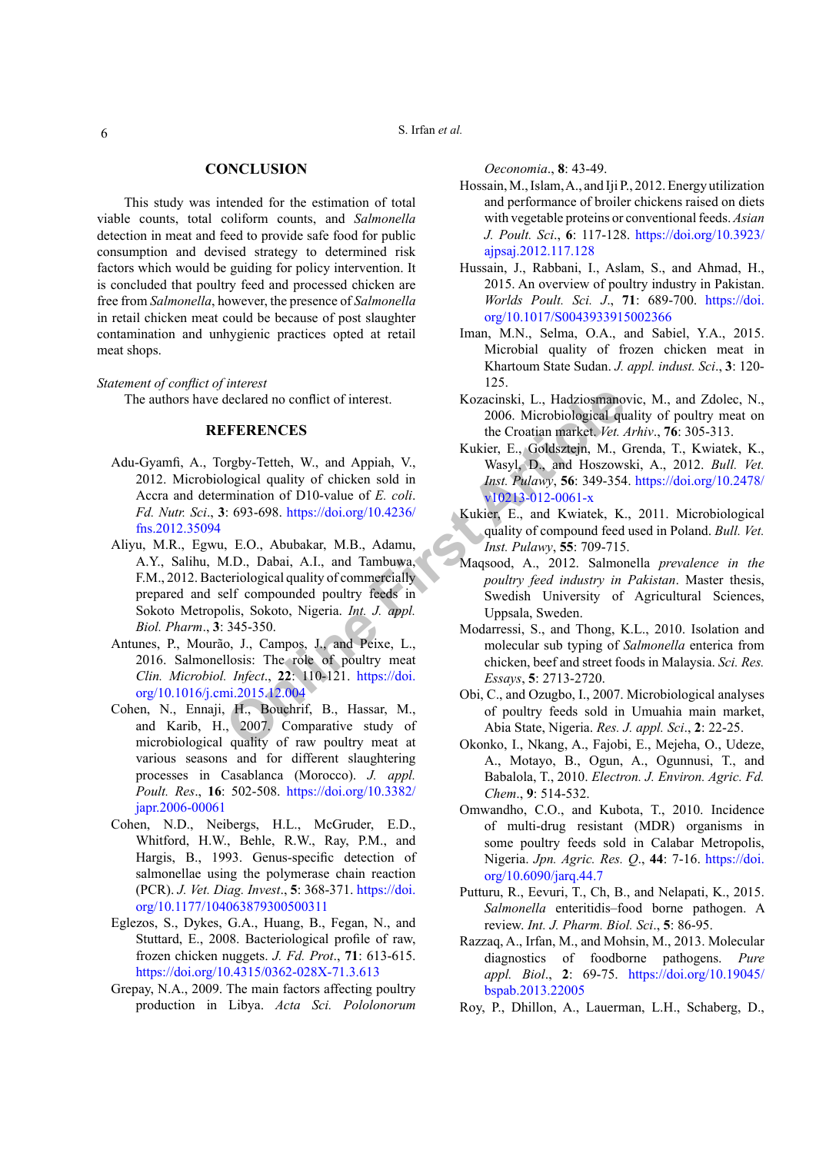S. Irfan *et al.*

#### **CONCLUSION**

This study was intended for the estimation of total viable counts, total coliform counts, and *Salmonella* detection in meat and feed to provide safe food for public consumption and devised strategy to determined risk factors which would be guiding for policy intervention. It is concluded that poultry feed and processed chicken are free from *Salmonella*, however, the presence of *Salmonella* in retail chicken meat could be because of post slaughter contamination and unhygienic practices opted at retail meat shops.

*Statement of conflict of interest* The authors have declared no conflict of interest.

#### **REFERENCES**

- <span id="page-5-13"></span><span id="page-5-3"></span>Adu-Gyamfi, A., Torgby-Tetteh, W., and Appiah, V., 2012. Microbiological quality of chicken sold in Accra and determination of D10-value of *E. coli*. *Fd. Nutr. Sci*., **3**: 693-698. https://doi.org/10.4236/ [fns.2012.35094](https://doi.org/10.4236/fns.2012.35094)
- declared no conflict of interest.<br> **CERENCES**<br>
CERENCES<br>
CONDEXECTION 2006. Microbiological que<br>
declared no conflict of interest.<br>
The Croatian market. Vet.<br>
Degical quality of chicken sold in<br>
M., Wasyl, D., and Appian a Aliyu, M.R., Egwu, E.O., Abubakar, M.B., Adamu, A.Y., Salihu, M.D., Dabai, A.I., and Tambuwa, F.M., 2012. Bacteriological quality of commercially prepared and self compounded poultry feeds in Sokoto Metropolis, Sokoto, Nigeria. *Int. J. appl. Biol. Pharm*., **3**: 345-350.
- Antunes, P., Mourão, J., Campos, J., and Peixe, L., 2016. Salmonellosis: The role of poultry meat *Clin. Microbiol. Infect*., **22**: 110-121. https://doi. [org/10.1016/j.cmi.2015.12.004](https://doi.org/10.1016/j.cmi.2015.12.004)
- <span id="page-5-10"></span>Cohen, N., Ennaji, H., Bouchrif, B., Hassar, M., and Karib, H., 2007. Comparative study of microbiological quality of raw poultry meat at various seasons and for different slaughtering processes in Casablanca (Morocco). *J. appl. Poult. Res*., **16**: 502-508. [https://doi.org/10.3382/](https://doi.org/10.3382/japr.2006-00061) [japr.2006-00061](https://doi.org/10.3382/japr.2006-00061)
- <span id="page-5-7"></span>Cohen, N.D., Neibergs, H.L., McGruder, E.D., Whitford, H.W., Behle, R.W., Ray, P.M., and Hargis, B., 1993. Genus-specific detection of salmonellae using the polymerase chain reaction (PCR). *J. Vet. Diag. Invest*., **5**: 368-371. [https://doi.](https://doi.org/10.1177/104063879300500311) [org/10.1177/104063879300500311](https://doi.org/10.1177/104063879300500311)
- <span id="page-5-12"></span>Eglezos, S., Dykes, G.A., Huang, B., Fegan, N., and Stuttard, E., 2008. Bacteriological profile of raw, frozen chicken nuggets. *J. Fd. Prot*., **71**: 613-615. <https://doi.org/10.4315/0362-028X-71.3.613>
- <span id="page-5-1"></span>Grepay, N.A., 2009. The main factors affecting poultry production in Libya. *Acta Sci. Pololonorum*

*Oeconomia*., **8**: 43-49.

- <span id="page-5-2"></span>Hossain, M., Islam, A., and Iji P., 2012. Energy utilization and performance of broiler chickens raised on diets with vegetable proteins or conventional feeds. *Asian J. Poult. Sci*., **6**: 117-128. [https://doi.org/10.3923/](https://doi.org/10.3923/ajpsaj.2012.117.128) [ajpsaj.2012.117.128](https://doi.org/10.3923/ajpsaj.2012.117.128)
- <span id="page-5-0"></span>Hussain, J., Rabbani, I., Aslam, S., and Ahmad, H., 2015. An overview of poultry industry in Pakistan. *Worlds Poult. Sci. J*., **71**: 689-700. [https://doi.](https://doi.org/10.1017/S0043933915002366) [org/10.1017/S0043933915002366](https://doi.org/10.1017/S0043933915002366)
- <span id="page-5-14"></span>Iman, M.N., Selma, O.A., and Sabiel, Y.A., 2015. Microbial quality of frozen chicken meat in Khartoum State Sudan. *J. appl. indust. Sci*., **3**: 120- 125.
- <span id="page-5-11"></span>Kozacinski, L., Hadziosmanovic, M., and Zdolec, N., 2006. Microbiological quality of poultry meat on the Croatian market. *Vet. Arhiv*., **76**: 305-313.
- <span id="page-5-18"></span>Kukier, E., Goldsztejn, M., Grenda, T., Kwiatek, K., Wasyl, D., and Hoszowski, A., 2012. *Bull. Vet. Inst. Pulawy*, **56**: 349-354. [https://doi.org/10.2478/](https://doi.org/10.2478/v10213-012-0061-x) v10213-012-0061-x
- <span id="page-5-17"></span>Kukier, E., and Kwiatek, K., 2011. Microbiological quality of compound feed used in Poland. *Bull. Vet. Inst. Pulawy*, **55**: 709-715.
- <span id="page-5-6"></span>Maqsood, A., 2012. Salmonella *prevalence in the poultry feed industry in Pakistan*. Master thesis, Swedish University of Agricultural Sciences, Uppsala, Sweden.
- <span id="page-5-8"></span>Modarressi, S., and Thong, K.L., 2010. Isolation and molecular sub typing of *Salmonella* enterica from chicken, beef and street foods in Malaysia. *Sci. Res. Essays*, **5**: 2713-2720.
- <span id="page-5-16"></span>Obi, C., and Ozugbo, I., 2007. Microbiological analyses of poultry feeds sold in Umuahia main market, Abia State, Nigeria. *Res. J. appl. Sci*., **2**: 22-25.
- <span id="page-5-19"></span>Okonko, I., Nkang, A., Fajobi, E., Mejeha, O., Udeze, A., Motayo, B., Ogun, A., Ogunnusi, T., and Babalola, T., 2010. *Electron. J. Environ. Agric. Fd. Chem*., **9**: 514-532.
- <span id="page-5-5"></span>Omwandho, C.O., and Kubota, T., 2010. Incidence of multi-drug resistant (MDR) organisms in some poultry feeds sold in Calabar Metropolis, Nigeria. *Jpn. Agric. Res. Q*., **44**: 7-16. [https://doi.](https://doi.org/10.6090/jarq.44.7) [org/10.6090/jarq.44.7](https://doi.org/10.6090/jarq.44.7)
- <span id="page-5-4"></span>Putturu, R., Eevuri, T., Ch, B., and Nelapati, K., 2015. *Salmonella* enteritidis–food borne pathogen. A review. *Int. J. Pharm. Biol. Sci*., **5**: 86-95.
- <span id="page-5-15"></span>Razzaq, A., Irfan, M., and Mohsin, M., 2013. Molecular diagnostics of foodborne pathogens. *Pure appl. Biol*., **2**: 69-75. [https://doi.org/10.19045/](https://doi.org/10.19045/bspab.2013.22005) [bspab.2013.22005](https://doi.org/10.19045/bspab.2013.22005)
- <span id="page-5-9"></span>Roy, P., Dhillon, A., Lauerman, L.H., Schaberg, D.,